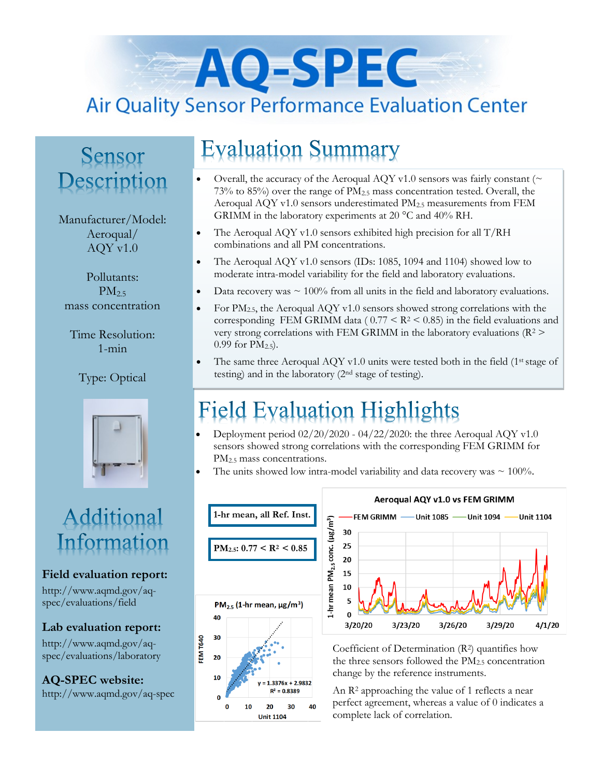# AO-SPEC **Air Quality Sensor Performance Evaluation Center**

### Sensor Description

#### Manufacturer/Model: Aeroqual/ AQY v1.0

Pollutants:  $PM<sub>2.5</sub>$ mass concentration

Time Resolution: 1-min

Type: Optical



### Additional Information

#### **Field evaluation report:**

http://www.aqmd.gov/aqspec/evaluations/field

**Lab evaluation report:**

http://www.aqmd.gov/aqspec/evaluations/laboratory

**AQ-SPEC website:**  http://www.aqmd.gov/aq-spec

### **Evaluation Summary**

- Overall, the accuracy of the Aeroqual AQY v1.0 sensors was fairly constant ( $\sim$  $73\%$  to 85%) over the range of  $PM_{2.5}$  mass concentration tested. Overall, the Aeroqual AQY v1.0 sensors underestimated  $PM_{2.5}$  measurements from FEM GRIMM in the laboratory experiments at 20 °C and 40% RH.
- The Aeroqual AQY v1.0 sensors exhibited high precision for all  $T/RH$ combinations and all PM concentrations.
- The Aeroqual AQY v1.0 sensors (IDs: 1085, 1094 and 1104) showed low to moderate intra-model variability for the field and laboratory evaluations.
- Data recovery was  $\sim 100\%$  from all units in the field and laboratory evaluations.
- For  $PM_{2.5}$ , the Aeroqual AQY v1.0 sensors showed strong correlations with the corresponding FEM GRIMM data ( $0.77 \leq R^2 \leq 0.85$ ) in the field evaluations and very strong correlations with FEM GRIMM in the laboratory evaluations ( $R^2$  > 0.99 for  $PM_{2.5}$ ).
- The same three Aeroqual AQY v1.0 units were tested both in the field ( $1<sup>st</sup> stage of$ testing) and in the laboratory (2nd stage of testing).

# **Field Evaluation Highlights**

- Deployment period 02/20/2020 04/22/2020: the three Aeroqual AQY v1.0 sensors showed strong correlations with the corresponding FEM GRIMM for PM<sub>2.5</sub> mass concentrations.
- The units showed low intra-model variability and data recovery was  $\sim 100\%$ .





Coefficient of Determination (R2) quantifies how the three sensors followed the  $PM_{2.5}$  concentration change by the reference instruments.

An R<sup>2</sup> approaching the value of 1 reflects a near perfect agreement, whereas a value of 0 indicates a complete lack of correlation.